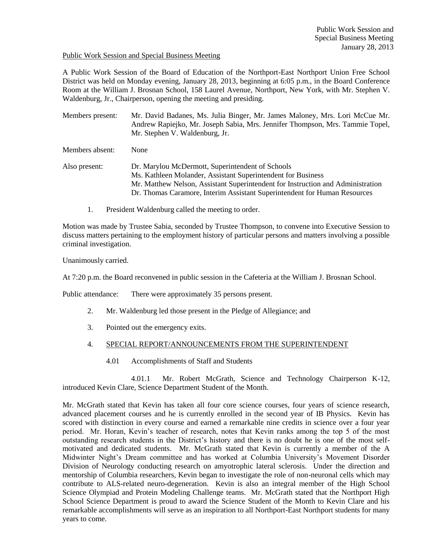### Public Work Session and Special Business Meeting

A Public Work Session of the Board of Education of the Northport-East Northport Union Free School District was held on Monday evening, January 28, 2013, beginning at 6:05 p.m., in the Board Conference Room at the William J. Brosnan School, 158 Laurel Avenue, Northport, New York, with Mr. Stephen V. Waldenburg, Jr., Chairperson, opening the meeting and presiding.

Members present: Mr. David Badanes, Ms. Julia Binger, Mr. James Maloney, Mrs. Lori McCue Mr. Andrew Rapiejko, Mr. Joseph Sabia, Mrs. Jennifer Thompson, Mrs. Tammie Topel, Mr. Stephen V. Waldenburg, Jr.

Members absent: None

- Also present: Dr. Marylou McDermott, Superintendent of Schools Ms. Kathleen Molander, Assistant Superintendent for Business Mr. Matthew Nelson, Assistant Superintendent for Instruction and Administration Dr. Thomas Caramore, Interim Assistant Superintendent for Human Resources
	- 1. President Waldenburg called the meeting to order.

Motion was made by Trustee Sabia, seconded by Trustee Thompson, to convene into Executive Session to discuss matters pertaining to the employment history of particular persons and matters involving a possible criminal investigation.

Unanimously carried.

At 7:20 p.m. the Board reconvened in public session in the Cafeteria at the William J. Brosnan School.

Public attendance: There were approximately 35 persons present.

- 2. Mr. Waldenburg led those present in the Pledge of Allegiance; and
- 3. Pointed out the emergency exits.
- 4. SPECIAL REPORT/ANNOUNCEMENTS FROM THE SUPERINTENDENT
	- 4.01 Accomplishments of Staff and Students

4.01.1 Mr. Robert McGrath, Science and Technology Chairperson K-12, introduced Kevin Clare, Science Department Student of the Month.

Mr. McGrath stated that Kevin has taken all four core science courses, four years of science research, advanced placement courses and he is currently enrolled in the second year of IB Physics. Kevin has scored with distinction in every course and earned a remarkable nine credits in science over a four year period. Mr. Horan, Kevin's teacher of research, notes that Kevin ranks among the top 5 of the most outstanding research students in the District's history and there is no doubt he is one of the most selfmotivated and dedicated students. Mr. McGrath stated that Kevin is currently a member of the A Midwinter Night's Dream committee and has worked at Columbia University's Movement Disorder Division of Neurology conducting research on amyotrophic lateral sclerosis. Under the direction and mentorship of Columbia researchers, Kevin began to investigate the role of non-neuronal cells which may contribute to ALS-related neuro-degeneration. Kevin is also an integral member of the High School Science Olympiad and Protein Modeling Challenge teams. Mr. McGrath stated that the Northport High School Science Department is proud to award the Science Student of the Month to Kevin Clare and his remarkable accomplishments will serve as an inspiration to all Northport-East Northport students for many years to come.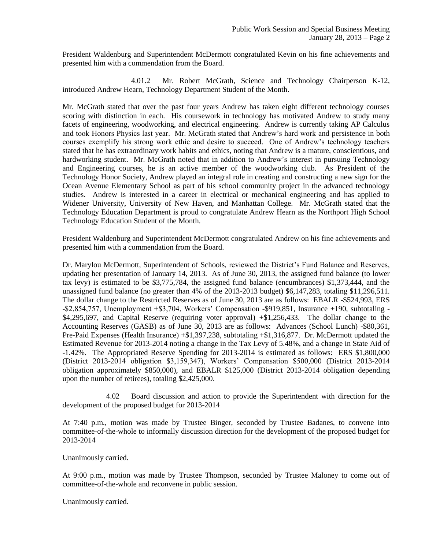President Waldenburg and Superintendent McDermott congratulated Kevin on his fine achievements and presented him with a commendation from the Board.

4.01.2 Mr. Robert McGrath, Science and Technology Chairperson K-12, introduced Andrew Hearn, Technology Department Student of the Month.

Mr. McGrath stated that over the past four years Andrew has taken eight different technology courses scoring with distinction in each. His coursework in technology has motivated Andrew to study many facets of engineering, woodworking, and electrical engineering. Andrew is currently taking AP Calculus and took Honors Physics last year. Mr. McGrath stated that Andrew's hard work and persistence in both courses exemplify his strong work ethic and desire to succeed. One of Andrew's technology teachers stated that he has extraordinary work habits and ethics, noting that Andrew is a mature, conscientious, and hardworking student. Mr. McGrath noted that in addition to Andrew's interest in pursuing Technology and Engineering courses, he is an active member of the woodworking club. As President of the Technology Honor Society, Andrew played an integral role in creating and constructing a new sign for the Ocean Avenue Elementary School as part of his school community project in the advanced technology studies. Andrew is interested in a career in electrical or mechanical engineering and has applied to Widener University, University of New Haven, and Manhattan College. Mr. McGrath stated that the Technology Education Department is proud to congratulate Andrew Hearn as the Northport High School Technology Education Student of the Month.

President Waldenburg and Superintendent McDermott congratulated Andrew on his fine achievements and presented him with a commendation from the Board.

Dr. Marylou McDermott, Superintendent of Schools, reviewed the District's Fund Balance and Reserves, updating her presentation of January 14, 2013. As of June 30, 2013, the assigned fund balance (to lower tax levy) is estimated to be \$3,775,784, the assigned fund balance (encumbrances) \$1,373,444, and the unassigned fund balance (no greater than 4% of the 2013-2013 budget) \$6,147,283, totaling \$11,296,511. The dollar change to the Restricted Reserves as of June 30, 2013 are as follows: EBALR -\$524,993, ERS -\$2,854,757, Unemployment +\$3,704, Workers' Compensation -\$919,851, Insurance +190, subtotaling - \$4,295,697, and Capital Reserve (requiring voter approval) +\$1,256,433. The dollar change to the Accounting Reserves (GASB) as of June 30, 2013 are as follows: Advances (School Lunch) -\$80,361, Pre-Paid Expenses (Health Insurance) +\$1,397,238, subtotaling +\$1,316,877. Dr. McDermott updated the Estimated Revenue for 2013-2014 noting a change in the Tax Levy of 5.48%, and a change in State Aid of -1.42%. The Appropriated Reserve Spending for 2013-2014 is estimated as follows: ERS \$1,800,000 (District 2013-2014 obligation \$3,159,347), Workers' Compensation \$500,000 (District 2013-2014 obligation approximately \$850,000), and EBALR \$125,000 (District 2013-2014 obligation depending upon the number of retirees), totaling \$2,425,000.

4.02 Board discussion and action to provide the Superintendent with direction for the development of the proposed budget for 2013-2014

At 7:40 p.m., motion was made by Trustee Binger, seconded by Trustee Badanes, to convene into committee-of-the-whole to informally discussion direction for the development of the proposed budget for 2013-2014

Unanimously carried.

At 9:00 p.m., motion was made by Trustee Thompson, seconded by Trustee Maloney to come out of committee-of-the-whole and reconvene in public session.

Unanimously carried.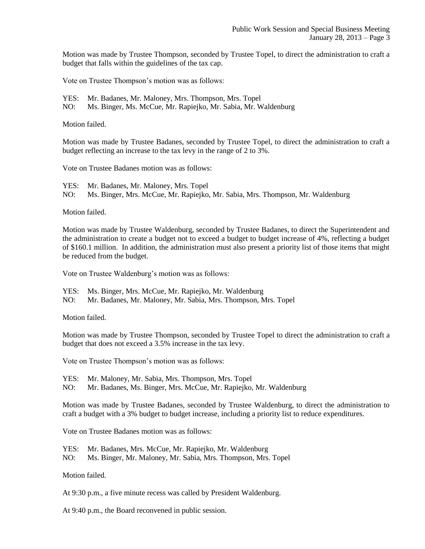Motion was made by Trustee Thompson, seconded by Trustee Topel, to direct the administration to craft a budget that falls within the guidelines of the tax cap.

Vote on Trustee Thompson's motion was as follows:

YES: Mr. Badanes, Mr. Maloney, Mrs. Thompson, Mrs. Topel

NO: Ms. Binger, Ms. McCue, Mr. Rapiejko, Mr. Sabia, Mr. Waldenburg

Motion failed.

Motion was made by Trustee Badanes, seconded by Trustee Topel, to direct the administration to craft a budget reflecting an increase to the tax levy in the range of 2 to 3%.

Vote on Trustee Badanes motion was as follows:

YES: Mr. Badanes, Mr. Maloney, Mrs. Topel NO: Ms. Binger, Mrs. McCue, Mr. Rapiejko, Mr. Sabia, Mrs. Thompson, Mr. Waldenburg

Motion failed.

Motion was made by Trustee Waldenburg, seconded by Trustee Badanes, to direct the Superintendent and the administration to create a budget not to exceed a budget to budget increase of 4%, reflecting a budget of \$160.1 million. In addition, the administration must also present a priority list of those items that might be reduced from the budget.

Vote on Trustee Waldenburg's motion was as follows:

YES: Ms. Binger, Mrs. McCue, Mr. Rapiejko, Mr. Waldenburg

NO: Mr. Badanes, Mr. Maloney, Mr. Sabia, Mrs. Thompson, Mrs. Topel

Motion failed.

Motion was made by Trustee Thompson, seconded by Trustee Topel to direct the administration to craft a budget that does not exceed a 3.5% increase in the tax levy.

Vote on Trustee Thompson's motion was as follows:

YES: Mr. Maloney, Mr. Sabia, Mrs. Thompson, Mrs. Topel

NO: Mr. Badanes, Ms. Binger, Mrs. McCue, Mr. Rapiejko, Mr. Waldenburg

Motion was made by Trustee Badanes, seconded by Trustee Waldenburg, to direct the administration to craft a budget with a 3% budget to budget increase, including a priority list to reduce expenditures.

Vote on Trustee Badanes motion was as follows:

YES: Mr. Badanes, Mrs. McCue, Mr. Rapiejko, Mr. Waldenburg

NO: Ms. Binger, Mr. Maloney, Mr. Sabia, Mrs. Thompson, Mrs. Topel

Motion failed.

At 9:30 p.m., a five minute recess was called by President Waldenburg.

At 9:40 p.m., the Board reconvened in public session.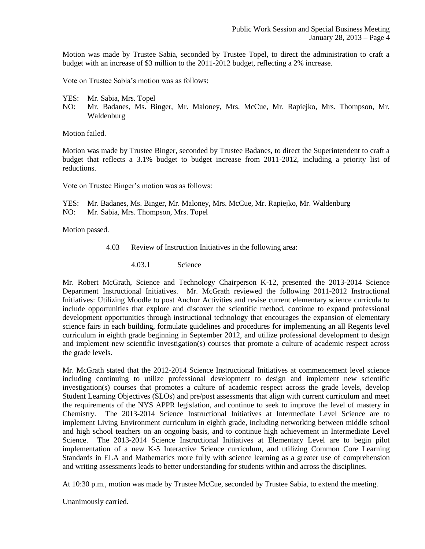Motion was made by Trustee Sabia, seconded by Trustee Topel, to direct the administration to craft a budget with an increase of \$3 million to the 2011-2012 budget, reflecting a 2% increase.

Vote on Trustee Sabia's motion was as follows:

- YES: Mr. Sabia, Mrs. Topel
- NO: Mr. Badanes, Ms. Binger, Mr. Maloney, Mrs. McCue, Mr. Rapiejko, Mrs. Thompson, Mr. Waldenburg

Motion failed.

Motion was made by Trustee Binger, seconded by Trustee Badanes, to direct the Superintendent to craft a budget that reflects a 3.1% budget to budget increase from 2011-2012, including a priority list of reductions.

Vote on Trustee Binger's motion was as follows:

YES: Mr. Badanes, Ms. Binger, Mr. Maloney, Mrs. McCue, Mr. Rapiejko, Mr. Waldenburg NO: Mr. Sabia, Mrs. Thompson, Mrs. Topel

Motion passed.

- 4.03 Review of Instruction Initiatives in the following area:
	- 4.03.1 Science

Mr. Robert McGrath, Science and Technology Chairperson K-12, presented the 2013-2014 Science Department Instructional Initiatives. Mr. McGrath reviewed the following 2011-2012 Instructional Initiatives: Utilizing Moodle to post Anchor Activities and revise current elementary science curricula to include opportunities that explore and discover the scientific method, continue to expand professional development opportunities through instructional technology that encourages the expansion of elementary science fairs in each building, formulate guidelines and procedures for implementing an all Regents level curriculum in eighth grade beginning in September 2012, and utilize professional development to design and implement new scientific investigation(s) courses that promote a culture of academic respect across the grade levels.

Mr. McGrath stated that the 2012-2014 Science Instructional Initiatives at commencement level science including continuing to utilize professional development to design and implement new scientific investigation(s) courses that promotes a culture of academic respect across the grade levels, develop Student Learning Objectives (SLOs) and pre/post assessments that align with current curriculum and meet the requirements of the NYS APPR legislation, and continue to seek to improve the level of mastery in Chemistry. The 2013-2014 Science Instructional Initiatives at Intermediate Level Science are to implement Living Environment curriculum in eighth grade, including networking between middle school and high school teachers on an ongoing basis, and to continue high achievement in Intermediate Level Science. The 2013-2014 Science Instructional Initiatives at Elementary Level are to begin pilot implementation of a new K-5 Interactive Science curriculum, and utilizing Common Core Learning Standards in ELA and Mathematics more fully with science learning as a greater use of comprehension and writing assessments leads to better understanding for students within and across the disciplines.

At 10:30 p.m., motion was made by Trustee McCue, seconded by Trustee Sabia, to extend the meeting.

Unanimously carried.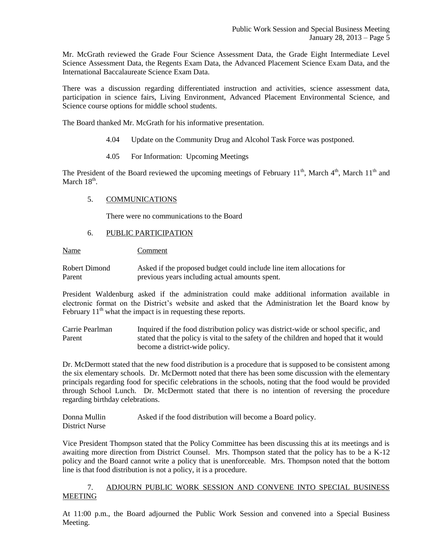Mr. McGrath reviewed the Grade Four Science Assessment Data, the Grade Eight Intermediate Level Science Assessment Data, the Regents Exam Data, the Advanced Placement Science Exam Data, and the International Baccalaureate Science Exam Data.

There was a discussion regarding differentiated instruction and activities, science assessment data, participation in science fairs, Living Environment, Advanced Placement Environmental Science, and Science course options for middle school students.

The Board thanked Mr. McGrath for his informative presentation.

- 4.04 Update on the Community Drug and Alcohol Task Force was postponed.
- 4.05 For Information: Upcoming Meetings

The President of the Board reviewed the upcoming meetings of February  $11^{th}$ , March  $4^{th}$ , March  $11^{th}$  and March  $18<sup>th</sup>$ .

## 5. COMMUNICATIONS

There were no communications to the Board

## 6. PUBLIC PARTICIPATION

Name Comment

Robert Dimond Asked if the proposed budget could include line item allocations for Parent previous years including actual amounts spent.

President Waldenburg asked if the administration could make additional information available in electronic format on the District's website and asked that the Administration let the Board know by February  $11<sup>th</sup>$  what the impact is in requesting these reports.

Carrie Pearlman Inquired if the food distribution policy was district-wide or school specific, and Parent stated that the policy is vital to the safety of the children and hoped that it would become a district-wide policy.

Dr. McDermott stated that the new food distribution is a procedure that is supposed to be consistent among the six elementary schools. Dr. McDermott noted that there has been some discussion with the elementary principals regarding food for specific celebrations in the schools, noting that the food would be provided through School Lunch. Dr. McDermott stated that there is no intention of reversing the procedure regarding birthday celebrations.

Donna Mullin Asked if the food distribution will become a Board policy. District Nurse

Vice President Thompson stated that the Policy Committee has been discussing this at its meetings and is awaiting more direction from District Counsel. Mrs. Thompson stated that the policy has to be a K-12 policy and the Board cannot write a policy that is unenforceable. Mrs. Thompson noted that the bottom line is that food distribution is not a policy, it is a procedure.

# 7. ADJOURN PUBLIC WORK SESSION AND CONVENE INTO SPECIAL BUSINESS MEETING

At 11:00 p.m., the Board adjourned the Public Work Session and convened into a Special Business Meeting.